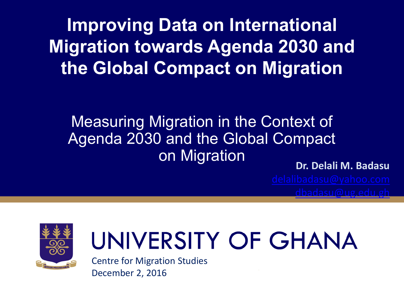**Improving Data on International Migration towards Agenda 2030 and the Global Compact on Migration**

#### Measuring Migration in the Context of Agenda 2030 and the Global Compact on Migration

**Dr. Delali M. Badasu**



# UNIVERSITY OF GHANA

Centre for Migration Studies December 2, 2016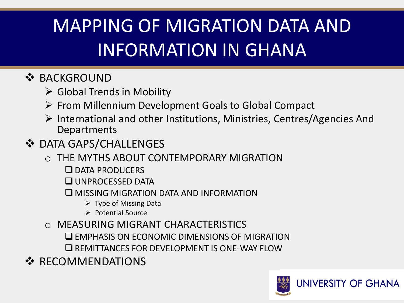### MAPPING OF MIGRATION DATA AND INFORMATION IN GHANA

#### ❖ BACKGROUND

- $\triangleright$  Global Trends in Mobility
- $\triangleright$  From Millennium Development Goals to Global Compact
- $\triangleright$  International and other Institutions, Ministries, Centres/Agencies And **Departments**
- **❖ DATA GAPS/CHALLENGES** 
	- o THE MYTHS ABOUT CONTEMPORARY MIGRATION
		- **O DATA PRODUCERS**
		- **UNPROCESSED DATA**
		- MISSING MIGRATION DATA AND INFORMATION
			- $\triangleright$  Type of Missing Data
			- $\triangleright$  Potential Source
	- o MEASURING MIGRANT CHARACTERISTICS
		- $\square$  EMPHASIS ON ECONOMIC DIMENSIONS OF MIGRATION
		- **EXECUTE AND EXECUTE IS ONE-WAY FLOW**
- ❖ RECOMMENDATIONS

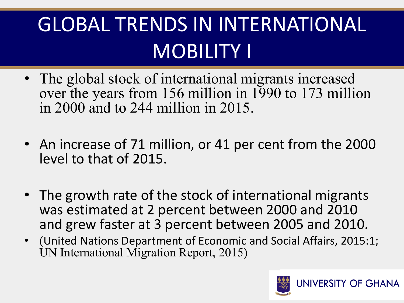## GLOBAL TRENDS IN INTERNATIONAL MOBILITY I

- The global stock of international migrants increased over the years from 156 million in 1990 to 173 million in 2000 and to 244 million in 2015.
- An increase of 71 million, or 41 per cent from the 2000 level to that of 2015.
- The growth rate of the stock of international migrants was estimated at 2 percent between 2000 and 2010 and grew faster at 3 percent between 2005 and 2010.
- (United Nations Department of Economic and Social Affairs, 2015:1; UN International Migration Report, 2015)

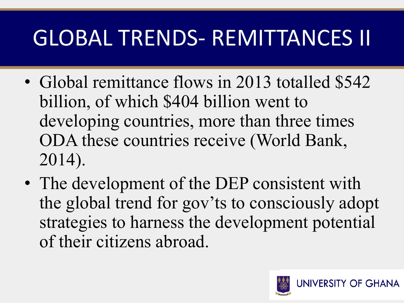## GLOBAL TRENDS- REMITTANCES II

- Global remittance flows in 2013 totalled \$542 billion, of which \$404 billion went to developing countries, more than three times ODA these countries receive (World Bank, 2014).
- The development of the DEP consistent with the global trend for gov'ts to consciously adopt strategies to harness the development potential of their citizens abroad.

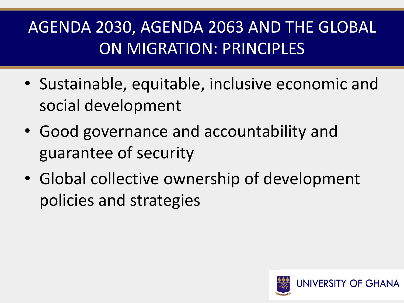#### AGENDA 2030, AGENDA 2063 AND THE GLOBAL ON MIGRATION: PRINCIPLES

- Sustainable, equitable, inclusive economic and social development
- Good governance and accountability and guarantee of security
- Global collective ownership of development policies and strategies

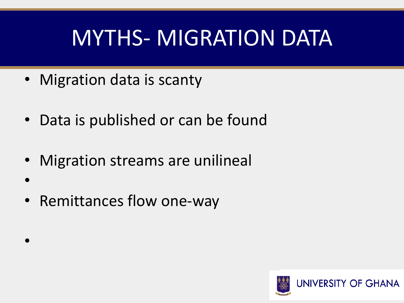## MYTHS- MIGRATION DATA

- Migration data is scanty
- Data is published or can be found
- Migration streams are unilineal
- • Remittances flow one-way

•

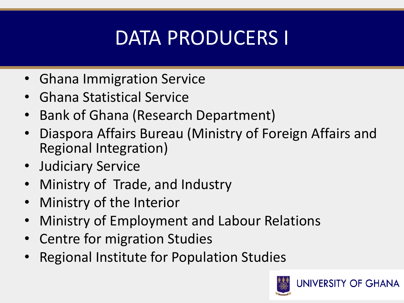### DATA PRODUCERS I

- Ghana Immigration Service
- Ghana Statistical Service
- Bank of Ghana (Research Department)
- Diaspora Affairs Bureau (Ministry of Foreign Affairs and Regional Integration)
- Judiciary Service
- Ministry of Trade, and Industry
- Ministry of the Interior
- Ministry of Employment and Labour Relations
- Centre for migration Studies
- Regional Institute for Population Studies

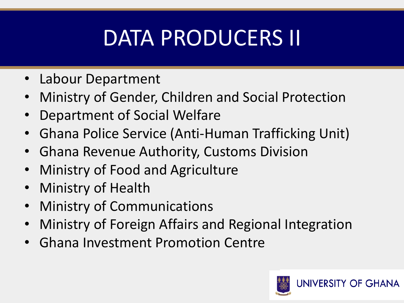### DATA PRODUCERS II

- Labour Department
- Ministry of Gender, Children and Social Protection
- Department of Social Welfare
- Ghana Police Service (Anti-Human Trafficking Unit)
- Ghana Revenue Authority, Customs Division
- Ministry of Food and Agriculture
- Ministry of Health
- **Ministry of Communications**
- Ministry of Foreign Affairs and Regional Integration
- Ghana Investment Promotion Centre

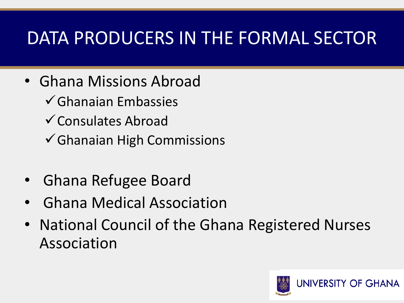#### DATA PRODUCERS IN THE FORMAL SECTOR

- Ghana Missions Abroad
	- $\checkmark$  Ghanaian Embassies
	- Consulates Abroad
	- Ghanaian High Commissions
- Ghana Refugee Board
- Ghana Medical Association
- National Council of the Ghana Registered Nurses Association

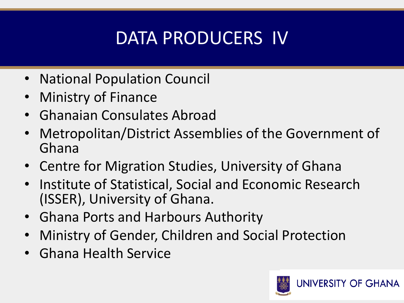### DATA PRODUCERS IV

- National Population Council
- Ministry of Finance
- Ghanaian Consulates Abroad
- Metropolitan/District Assemblies of the Government of Ghana
- Centre for Migration Studies, University of Ghana
- Institute of Statistical, Social and Economic Research (ISSER), University of Ghana.
- Ghana Ports and Harbours Authority
- Ministry of Gender, Children and Social Protection
- Ghana Health Service

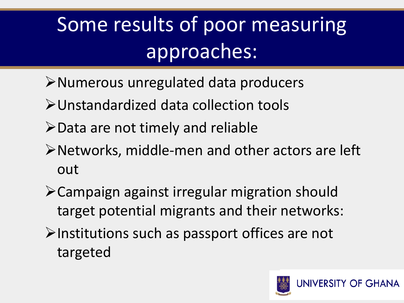## Some results of poor measuring approaches:

- Numerous unregulated data producers
- Unstandardized data collection tools
- $\triangleright$  Data are not timely and reliable
- Networks, middle-men and other actors are left out
- Campaign against irregular migration should target potential migrants and their networks:
- $\triangleright$ Institutions such as passport offices are not targeted

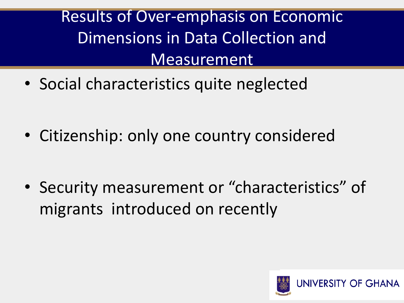#### Results of Over-emphasis on Economic Dimensions in Data Collection and Measurement

• Social characteristics quite neglected

• Citizenship: only one country considered

• Security measurement or "characteristics" of migrants introduced on recently

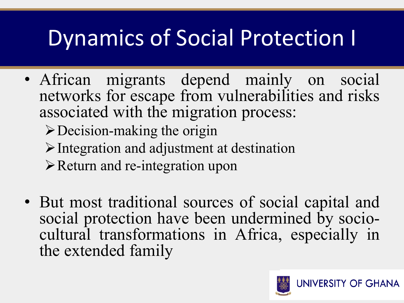## Dynamics of Social Protection I

• African migrants depend mainly on social networks for escape from vulnerabilities and risks associated with the migration process:

Decision-making the origin

- $\triangleright$  Integration and adjustment at destination
- $\triangleright$  Return and re-integration upon
- But most traditional sources of social capital and social protection have been undermined by sociocultural transformations in Africa, especially in the extended family

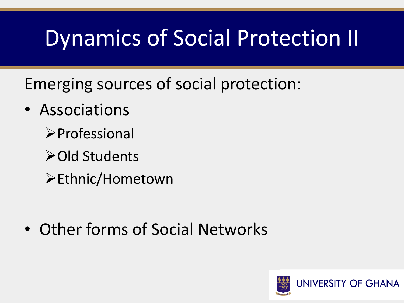### Dynamics of Social Protection II

Emerging sources of social protection:

- Associations
	- **>Professional**
	- **≻Old Students**
	- Ethnic/Hometown

• Other forms of Social Networks

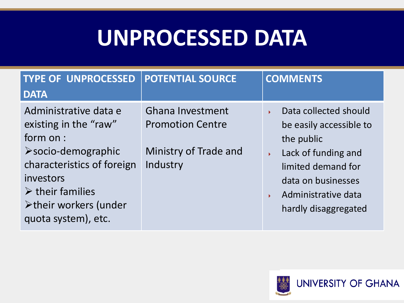### **UNPROCESSED DATA**

| <b>TYPE OF UNPROCESSED</b><br><b>DATA</b>                                                                                                                                                                                       | <b>POTENTIAL SOURCE</b>                                                                 | <b>COMMENTS</b>                                                                                                                                                                                                     |
|---------------------------------------------------------------------------------------------------------------------------------------------------------------------------------------------------------------------------------|-----------------------------------------------------------------------------------------|---------------------------------------------------------------------------------------------------------------------------------------------------------------------------------------------------------------------|
| Administrative data e<br>existing in the "raw"<br>form on :<br>$\triangleright$ socio-demographic<br>characteristics of foreign<br>investors<br>$\triangleright$ their families<br>>their workers (under<br>quota system), etc. | <b>Ghana Investment</b><br><b>Promotion Centre</b><br>Ministry of Trade and<br>Industry | Data collected should<br>Ы<br>be easily accessible to<br>the public<br>Lack of funding and<br>$\blacktriangleright$<br>limited demand for<br>data on businesses<br>Administrative data<br>У<br>hardly disaggregated |

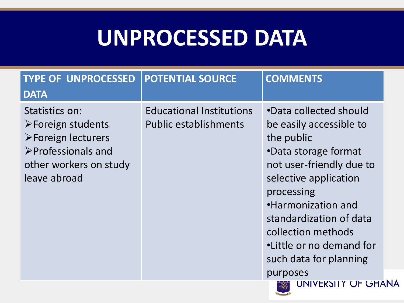### **UNPROCESSED DATA**

| <b>Educational Institutions</b><br>Statistics on:<br><b>Public establishments</b><br>$\triangleright$ Foreign students<br>>Foreign lecturers<br>$\triangleright$ Professionals and<br>other workers on study<br>leave abroad |                                                                                                                                                                                                                                                                                                                            |
|------------------------------------------------------------------------------------------------------------------------------------------------------------------------------------------------------------------------------|----------------------------------------------------------------------------------------------------------------------------------------------------------------------------------------------------------------------------------------------------------------------------------------------------------------------------|
|                                                                                                                                                                                                                              | •Data collected should<br>be easily accessible to<br>the public<br>•Data storage format<br>not user-friendly due to<br>selective application<br>processing<br>•Harmonization and<br>standardization of data<br>collection methods<br>•Little or no demand for<br>such data for planning<br>purposes<br>UNIVERSITY OF GHANA |

 $\frac{80}{1}$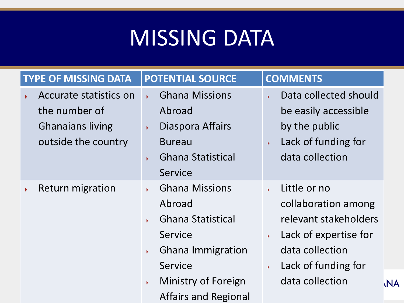### MISSING DATA

| <b>TYPE OF MISSING DATA</b>                                                                                        | <b>POTENTIAL SOURCE</b>                                                                                                                                                                                                                                                           | <b>COMMENTS</b>                                                                                                                                                                                                                                  |
|--------------------------------------------------------------------------------------------------------------------|-----------------------------------------------------------------------------------------------------------------------------------------------------------------------------------------------------------------------------------------------------------------------------------|--------------------------------------------------------------------------------------------------------------------------------------------------------------------------------------------------------------------------------------------------|
| Accurate statistics on<br>$\blacktriangleright$<br>the number of<br><b>Ghanaians living</b><br>outside the country | <b>Ghana Missions</b><br>$\mathbf{v}$<br>Abroad<br>Diaspora Affairs<br>$\blacktriangleright$<br><b>Bureau</b><br><b>Ghana Statistical</b><br>¥.<br>Service                                                                                                                        | Data collected should<br>¥.<br>be easily accessible<br>by the public<br>Lack of funding for<br>$\mathbf{F}^{\mathcal{A}}$<br>data collection                                                                                                     |
| <b>Return migration</b><br>¥.                                                                                      | <b>Ghana Missions</b><br>$\mathbf{F}^{\mathbf{r}}$<br>Abroad<br><b>Ghana Statistical</b><br>$\mathbf{E}^{\mathrm{eff}}$<br>Service<br><b>Ghana Immigration</b><br>$\blacktriangleright$<br>Service<br>Ministry of Foreign<br>$\blacktriangleright$<br><b>Affairs and Regional</b> | Little or no<br>$\mathbf{F}^{\mathbf{r}}$<br>collaboration among<br>relevant stakeholders<br>Lack of expertise for<br>$\mathbf{F}^{\mathrm{in}}$<br>data collection<br>Lack of funding for<br>$\mathbf{F}^{\pm}$<br>data collection<br><b>NA</b> |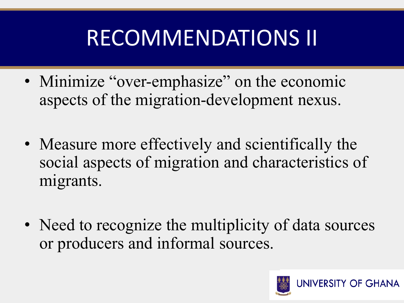## RECOMMENDATIONS II

- Minimize "over-emphasize" on the economic aspects of the migration-development nexus.
- Measure more effectively and scientifically the social aspects of migration and characteristics of migrants.
- Need to recognize the multiplicity of data sources or producers and informal sources.